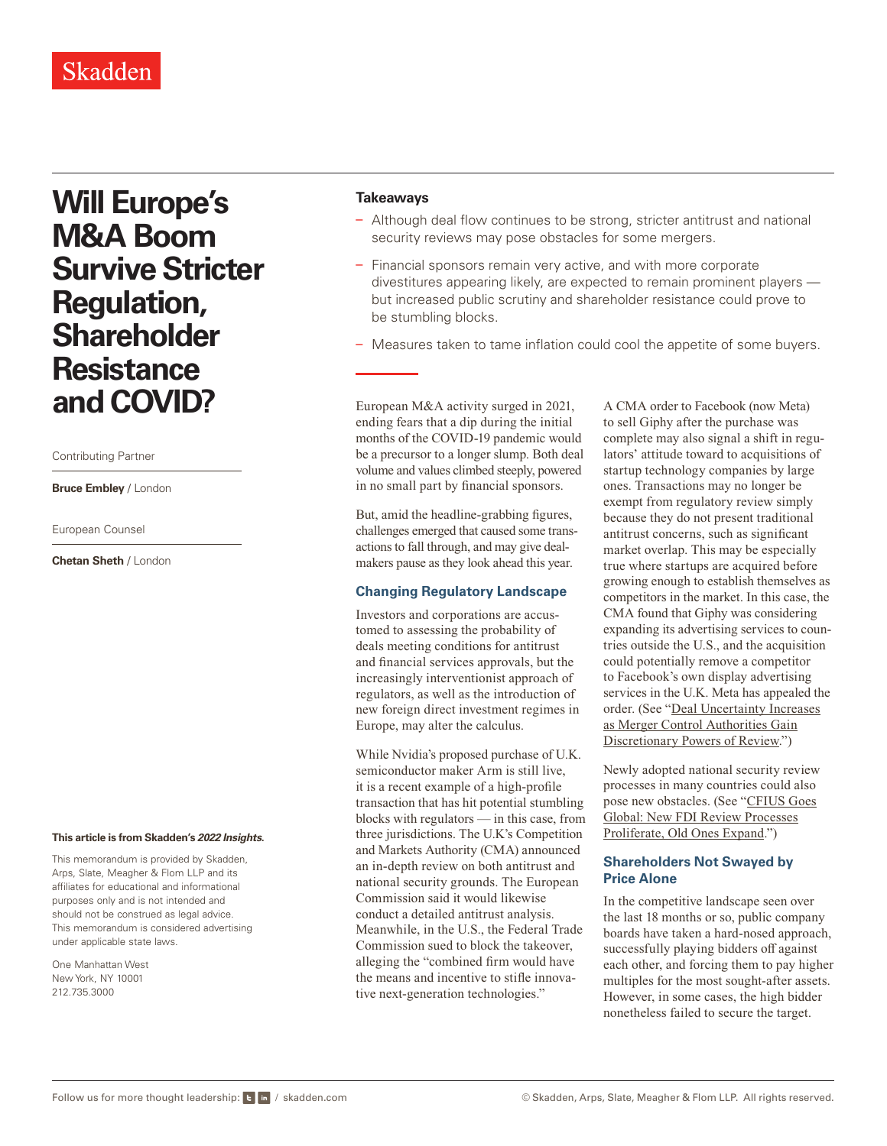# **Will Europe's M&A Boom Survive Stricter Regulation, Shareholder Resistance and COVID?**

#### Contributing Partner

**Bruce Embley** / London

European Counsel

**Chetan Sheth** / London

#### **This article is from Skadden's** *[2022 Insights](https://www.skadden.com/insights/publications/2022/01/2022-insights/2022-insights)***.**

This memorandum is provided by Skadden, Arps, Slate, Meagher & Flom LLP and its affiliates for educational and informational purposes only and is not intended and should not be construed as legal advice. This memorandum is considered advertising under applicable state laws.

One Manhattan West New York, NY 10001 212.735.3000

## **Takeaways**

- Although deal flow continues to be strong, stricter antitrust and national security reviews may pose obstacles for some mergers.
- Financial sponsors remain very active, and with more corporate divestitures appearing likely, are expected to remain prominent players but increased public scrutiny and shareholder resistance could prove to be stumbling blocks.
- Measures taken to tame inflation could cool the appetite of some buyers.

European M&A activity surged in 2021, ending fears that a dip during the initial months of the COVID-19 pandemic would be a precursor to a longer slump. Both deal volume and values climbed steeply, powered in no small part by financial sponsors.

But, amid the headline-grabbing figures, challenges emerged that caused some transactions to fall through, and may give dealmakers pause as they look ahead this year.

# **Changing Regulatory Landscape**

Investors and corporations are accustomed to assessing the probability of deals meeting conditions for antitrust and financial services approvals, but the increasingly interventionist approach of regulators, as well as the introduction of new foreign direct investment regimes in Europe, may alter the calculus.

While Nvidia's proposed purchase of U.K. semiconductor maker Arm is still live, it is a recent example of a high-profile transaction that has hit potential stumbling blocks with regulators — in this case, from three jurisdictions. The U.K's Competition and Markets Authority (CMA) announced an in-depth review on both antitrust and national security grounds. The European Commission said it would likewise conduct a detailed antitrust analysis. Meanwhile, in the U.S., the Federal Trade Commission sued to block the takeover, alleging the "combined firm would have the means and incentive to stifle innovative next-generation technologies."

A CMA order to Facebook (now Meta) to sell Giphy after the purchase was complete may also signal a shift in regulators' attitude toward to acquisitions of startup technology companies by large ones. Transactions may no longer be exempt from regulatory review simply because they do not present traditional antitrust concerns, such as significant market overlap. This may be especially true where startups are acquired before growing enough to establish themselves as competitors in the market. In this case, the CMA found that Giphy was considering expanding its advertising services to countries outside the U.S., and the acquisition could potentially remove a competitor to Facebook's own display advertising services in the U.K. Meta has appealed the order. (See "[Deal Uncertainty Increases](https://www.skadden.com/insights/publications/2022/01/2022-insights/regulation-enforcement-and-investigations/deal-uncertainty-increases) [as Merger Control Authorities Gain](https://www.skadden.com/insights/publications/2022/01/2022-insights/regulation-enforcement-and-investigations/deal-uncertainty-increases) [Discretionary Powers of Review.](https://www.skadden.com/insights/publications/2022/01/2022-insights/regulation-enforcement-and-investigations/deal-uncertainty-increases)")

Newly adopted national security review processes in many countries could also pose new obstacles. (See "[CFIUS Goes](https://www.skadden.com/insights/publications/2022/01/2022-insights/regulation-enforcement-and-investigations/cfius-goes-global) [Global: New FDI Review Processes](https://www.skadden.com/insights/publications/2022/01/2022-insights/regulation-enforcement-and-investigations/cfius-goes-global) [Proliferate, Old Ones Expand.](https://www.skadden.com/insights/publications/2022/01/2022-insights/regulation-enforcement-and-investigations/cfius-goes-global)")

## **Shareholders Not Swayed by Price Alone**

In the competitive landscape seen over the last 18 months or so, public company boards have taken a hard-nosed approach, successfully playing bidders off against each other, and forcing them to pay higher multiples for the most sought-after assets. However, in some cases, the high bidder nonetheless failed to secure the target.